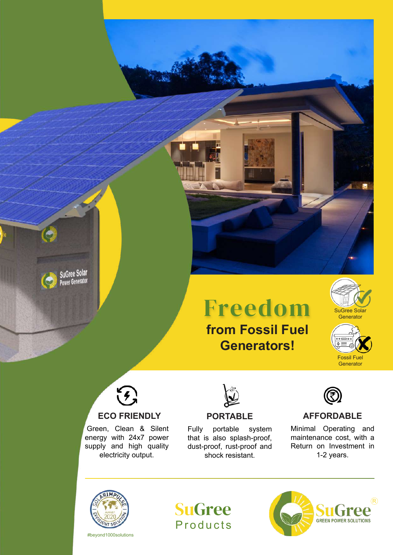

# **from Fossil Fuel**  Freedom

**Generators!**







T.

### **ECO FRIENDLY**

Green, Clean & Silent energy with 24x7 power supply and high quality electricity output.



#### **PORTABLE**

Fully portable system that is also splash-proof, dust-proof, rust-proof and shock resistant.



#### **AFFORDABLE**

Minimal Operating and maintenance cost, with a Return on Investment in 1-2 years.



#beyond1000solutions



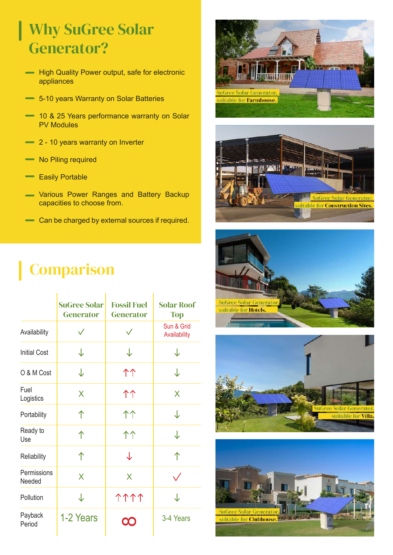## Why SuGree Solar Generator?

- **High Quality Power output, safe for electronic** appliances
- $\rightarrow$  5-10 years Warranty on Solar Batteries
- 10 & 25 Years performance warranty on Solar PV Modules
- 2 10 years warranty on Inverter
- No Piling required
- Easily Portable
- Various Power Ranges and Battery Backup capacities to choose from.
- Can be charged by external sources if required.

# **Comparison**

|                       | <b>SuGree Solar</b><br><b>Generator</b> | <b>Fossil Fuel</b><br><b>Generator</b> | <b>Solar Roof</b><br><b>Top</b> |
|-----------------------|-----------------------------------------|----------------------------------------|---------------------------------|
| Availability          |                                         |                                        | Sun & Grid<br>Availability      |
| <b>Initial Cost</b>   | ↓                                       | ↓                                      | J                               |
| O & M Cost            | ↓                                       | 个个                                     | ↓                               |
| Fuel<br>Logistics     | X                                       | 个个                                     | X                               |
| Portability           | 个                                       | 个个                                     | ↓                               |
| Ready to<br>Use       | ↑                                       | 个个                                     | ↓                               |
| Reliability           | 个                                       | ↓                                      | 个                               |
| Permissions<br>Needed | X                                       | X                                      |                                 |
| Pollution             | ↓                                       | <b>1111</b>                            | J                               |
| Payback<br>Period     | 1-2 Years                               | $\mathbf{\Omega}$                      | 3-4 Years                       |









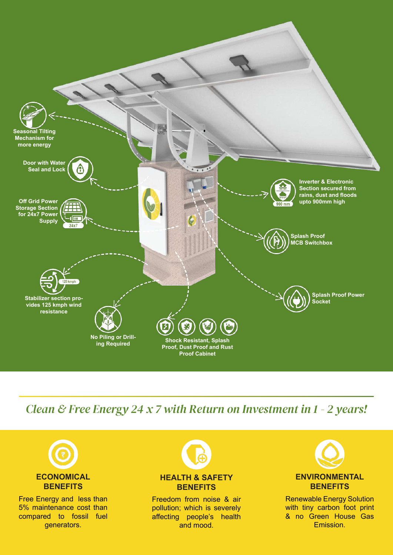

*Clean & Free Energy 24 x 7 with Return on Investment in 1 - 2 years!*



Free Energy and less than 5% maintenance cost than compared to fossil fuel generators.



### **BENEFITS**

Freedom from noise & air pollution; which is severely affecting people's health and mood.



Renewable Energy Solution with tiny carbon foot print & no Green House Gas Emission.